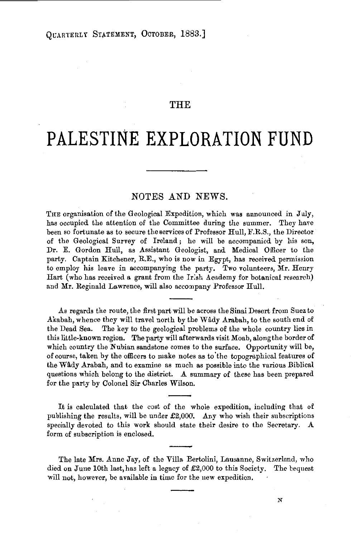## THE

## **PALESTINE EXPLORATION FUND**

## NOTES AND NEWS.

THE organisation of the Geological Expedition, which was announced in July, has occupied the attention of the Committee during the summer. They have been so fortunate as to secure the services of Professor Hull, F.R.S., the Director of the Geological Survey of Ireland; he will be accompanied by his son, Dr. E. Gordon Hull, as Assistant Geologist, and Medical Officer to the party. Captain Kitchener, R.E., who is now in Egypt, has received permission to employ his leave in accompanying the party. Two volunteera, Mr. Henry Hart (who has received a grant from the Ir:sh Academy for botanical research) and Mr. Reginald Lawrence, will also accompany Professor Hull.

As regards the route, the first part will be across the Sinai Desert from Suez to Akabah, whence they will travel north by the Wâdy Arabah, to the south end of the Dead Sea. The key to the geological problems of the whole country lies in this little-known region. The party will afterwards visit Moab, along the border of which country the Nubian sandstone comes to the surface. Opportunity will be, of course, taken by the officers to make notes as to· the topographical features of the Wady Arabah, and to examine as much as possible into the various Biblical questions which belong to the district. A summary of these has been prepared for the party by Colonel Sir Charles Wilson.

It is calculated that the cost of the whole expedition, including that of publishing the results, will be under  $£2,000$ . Any who wish their subscriptions specially devoted to this work should state their desire to the Secretary. A form of subscription is enclosed.

The late Mrs. Anne Jay, of the Villa Bertolini, Lausanne, Switzerland, who died on June lOth last, has left a legacy of £2,000 to this Society. The bequest will not, however, be available in time for the new expedition.

*N*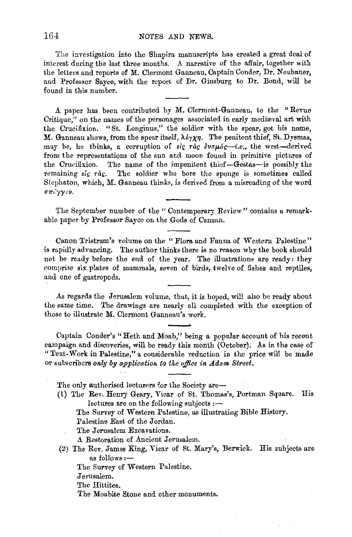The investigation into the Shapira manuscripts has created a great deal of interest during the last three months. A narrative of the affair, together with the letters and reports of M. Clermont Ganneau, Captain Conder, Dr. Neubauer, and Professor Sayee, with the report of Dr. Ginsburg to Dr. Bond, will be found in this number.

A paper has been contributed by M. Clermont-Ganneau, to the "Revue Critique," on the names of the personages associated in early medieval art with the Crucifixion. "St. Longinus," the soldier with the spear, got his name, *M.* Ganneau shows, from the spear itself,  $\lambda \delta \gamma \chi \eta$ . The penitent thief, St. Dysmas, muy be, he thinks, a corruption of *Eig* rag  $\delta v \sigma \mu \dot{a} g$ -i.e., the west-derived from the representations of the sun and moon found in primitive pictures of the Crucifixion. The name of the impenitent thief-Gestas--is possibly the remaining *Eig*  $\tau \dot{a}$ g. The soldier who bore the sponge is sometimes called Stcphaton, which, M. Ganneau thinks, is derived from a misreading of the word σπίγγον.

The September number of the "Contemporary Review" contains a remarkable paper by Professor Sayee on the Gods of Canaan.

Canon Tristram's volume on the " Flora and Fauna of Western Palestine" is rapidly advancing. The author thinks there is no reason why the book should not be ready before the end of the year. The illustrations are ready: they comprise six plates of mammals, seven of birds, twelve of fishes and reptiles, and one of gastropods.

As regards the Jerusalem volume, that, it is hoped, will also be ready about the same time. The drawings are nearly all completed with the exception of those to illustrate M. Clermont Ganneau's work.

Captain Conder's "Heth and Moab," being a popular account of his recent campaign and discoveries, will be ready this month (October). As in the case of "Tent-Work in Palestine," a considerable reduction in the price will be made or subscribers *only by application to tke office in Adam Street.* 

The only authorised lecturers for the Society are-

(1) The Rev. Henry Geary, Vicar of St. Thomas's, Portman Square. His lectures are on the following subjects :-

The Survey of Western Palestine, as illustrating Bible History.

Palestine East of the Jordan.

The Jerusalem Excavations.

A Restoration of Ancient Jerusalem.

(2) The Rev. James King, Vicar of St. Mary's, Berwick. His subjects are as follows :-

The Survey of Western Palestine.

Jerusalem.

The Hittites.

The Moabite Stone and other monuments.